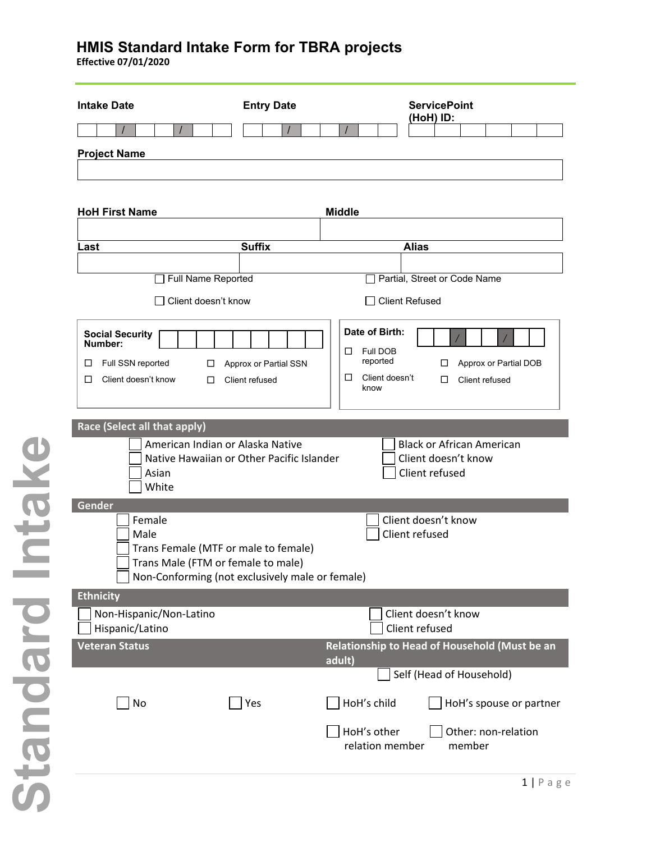**Effective 07/01/2020**

| <b>Intake Date</b>                                                                                | <b>Entry Date</b>                                                                                                             | <b>ServicePoint</b><br>(HoH) ID:                                                                                                     |  |  |
|---------------------------------------------------------------------------------------------------|-------------------------------------------------------------------------------------------------------------------------------|--------------------------------------------------------------------------------------------------------------------------------------|--|--|
|                                                                                                   |                                                                                                                               |                                                                                                                                      |  |  |
| <b>Project Name</b>                                                                               |                                                                                                                               |                                                                                                                                      |  |  |
|                                                                                                   |                                                                                                                               |                                                                                                                                      |  |  |
|                                                                                                   |                                                                                                                               |                                                                                                                                      |  |  |
| <b>HoH First Name</b>                                                                             |                                                                                                                               | <b>Middle</b>                                                                                                                        |  |  |
|                                                                                                   | <b>Suffix</b>                                                                                                                 | <b>Alias</b>                                                                                                                         |  |  |
| Last                                                                                              |                                                                                                                               |                                                                                                                                      |  |  |
| Full Name Reported                                                                                |                                                                                                                               | Partial, Street or Code Name                                                                                                         |  |  |
| Client doesn't know                                                                               |                                                                                                                               | <b>Client Refused</b>                                                                                                                |  |  |
| <b>Social Security</b><br>Number:<br>Full SSN reported<br>□<br>□<br>Client doesn't know<br>□<br>⊔ | Approx or Partial SSN<br>Client refused                                                                                       | Date of Birth:<br>Full DOB<br>ப<br>reported<br>Approx or Partial DOB<br>□<br>Client doesn't<br>$\Box$<br>Client refused<br>□<br>know |  |  |
| Race (Select all that apply)                                                                      |                                                                                                                               |                                                                                                                                      |  |  |
| Asian<br>White                                                                                    | American Indian or Alaska Native<br>Native Hawaiian or Other Pacific Islander                                                 | <b>Black or African American</b><br>Client doesn't know<br>Client refused                                                            |  |  |
| Gender<br>Female<br>Male                                                                          | Trans Female (MTF or male to female)<br>Trans Male (FTM or female to male)<br>Non-Conforming (not exclusively male or female) | Client doesn't know<br>Client refused                                                                                                |  |  |
| Ethnicity                                                                                         |                                                                                                                               |                                                                                                                                      |  |  |
| Non-Hispanic/Non-Latino<br>Hispanic/Latino                                                        |                                                                                                                               | Client doesn't know<br>Client refused                                                                                                |  |  |
| <b>Veteran Status</b>                                                                             |                                                                                                                               | Relationship to Head of Household (Must be an<br>adult)                                                                              |  |  |
|                                                                                                   |                                                                                                                               | Self (Head of Household)                                                                                                             |  |  |
| No                                                                                                | Yes                                                                                                                           | HoH's child<br>HoH's spouse or partner                                                                                               |  |  |
|                                                                                                   |                                                                                                                               | HoH's other<br>Other: non-relation<br>relation member<br>member                                                                      |  |  |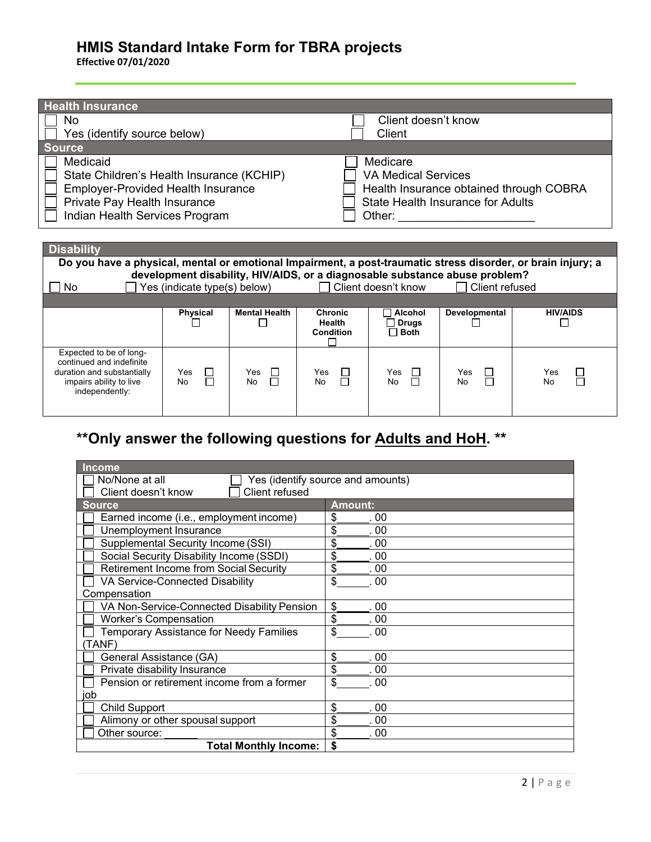**Effective 07/01/2020**

impairs ability to live independently:

| <b>Health Insurance</b>                                                                                      |                                                                                      |                      |                  |                     |                                          |                 |
|--------------------------------------------------------------------------------------------------------------|--------------------------------------------------------------------------------------|----------------------|------------------|---------------------|------------------------------------------|-----------------|
| No                                                                                                           |                                                                                      |                      |                  | Client doesn't know |                                          |                 |
| Yes (identify source below)<br>Client                                                                        |                                                                                      |                      |                  |                     |                                          |                 |
| <b>Source</b>                                                                                                |                                                                                      |                      |                  |                     |                                          |                 |
| Medicaid                                                                                                     |                                                                                      |                      |                  | Medicare            |                                          |                 |
|                                                                                                              | <b>VA Medical Services</b><br>State Children's Health Insurance (KCHIP)              |                      |                  |                     |                                          |                 |
|                                                                                                              | <b>Employer-Provided Health Insurance</b><br>Health Insurance obtained through COBRA |                      |                  |                     |                                          |                 |
| Private Pay Health Insurance                                                                                 |                                                                                      |                      |                  |                     | <b>State Health Insurance for Adults</b> |                 |
| Indian Health Services Program                                                                               |                                                                                      |                      |                  |                     | Other: <u>______________________</u>     |                 |
|                                                                                                              |                                                                                      |                      |                  |                     |                                          |                 |
|                                                                                                              |                                                                                      |                      |                  |                     |                                          |                 |
|                                                                                                              | <b>Disability</b>                                                                    |                      |                  |                     |                                          |                 |
| Do you have a physical, mental or emotional Impairment, a post-traumatic stress disorder, or brain injury; a |                                                                                      |                      |                  |                     |                                          |                 |
| development disability, HIV/AIDS, or a diagnosable substance abuse problem?<br>$\mathcal{L}$                 |                                                                                      |                      |                  |                     |                                          |                 |
| Client doesn't know<br>Client refused<br>Yes (indicate type(s) below)<br>No.                                 |                                                                                      |                      |                  |                     |                                          |                 |
|                                                                                                              | <b>Physical</b>                                                                      | <b>Mental Health</b> | <b>Chronic</b>   | Alcohol             | Developmental                            | <b>HIV/AIDS</b> |
|                                                                                                              |                                                                                      |                      | <b>Health</b>    | <b>Drugs</b>        |                                          |                 |
|                                                                                                              |                                                                                      |                      | <b>Condition</b> | $\Box$ Both         |                                          |                 |
| Expected to be of long-                                                                                      |                                                                                      |                      |                  |                     |                                          |                 |
| continued and indefinite                                                                                     |                                                                                      |                      |                  |                     |                                          |                 |
| duration and substantially                                                                                   | Yes                                                                                  | Yes                  | Yes              | Yes                 | Yes                                      | Yes             |
| impairs ability to live                                                                                      | П<br>No                                                                              | No                   | □<br>No          | П<br>No             | No                                       | No              |

# **\*\*Only answer the following questions for Adults and HoH. \*\***

| <b>Income</b>                                       |                |  |  |
|-----------------------------------------------------|----------------|--|--|
| Yes (identify source and amounts)<br>No/None at all |                |  |  |
| Client refused<br>Client doesn't know               |                |  |  |
| <b>Source</b>                                       | <b>Amount:</b> |  |  |
| Earned income (i.e., employment income)             | \$<br>. 00     |  |  |
| Unemployment Insurance                              | \$<br>. 00     |  |  |
| Supplemental Security Income (SSI)                  | \$<br>. 00     |  |  |
| Social Security Disability Income (SSDI)            | \$<br>. 00     |  |  |
| <b>Retirement Income from Social Security</b>       | \$<br>. 00     |  |  |
| VA Service-Connected Disability                     | \$<br>.00      |  |  |
| Compensation                                        |                |  |  |
| VA Non-Service-Connected Disability Pension         | \$<br>. 00     |  |  |
| <b>Worker's Compensation</b>                        | \$<br>. 00     |  |  |
| Temporary Assistance for Needy Families             | \$<br>. 00     |  |  |
| (TANF)                                              |                |  |  |
| General Assistance (GA)                             | \$<br>00       |  |  |
| Private disability Insurance                        | \$<br>00       |  |  |
| Pension or retirement income from a former          | \$<br>. 00     |  |  |
| job                                                 |                |  |  |
| <b>Child Support</b>                                | \$<br>. 00     |  |  |
| Alimony or other spousal support                    | \$<br>. 00     |  |  |
| Other source:                                       | \$<br>. 00     |  |  |
| <b>Total Monthly Income:</b>                        | \$             |  |  |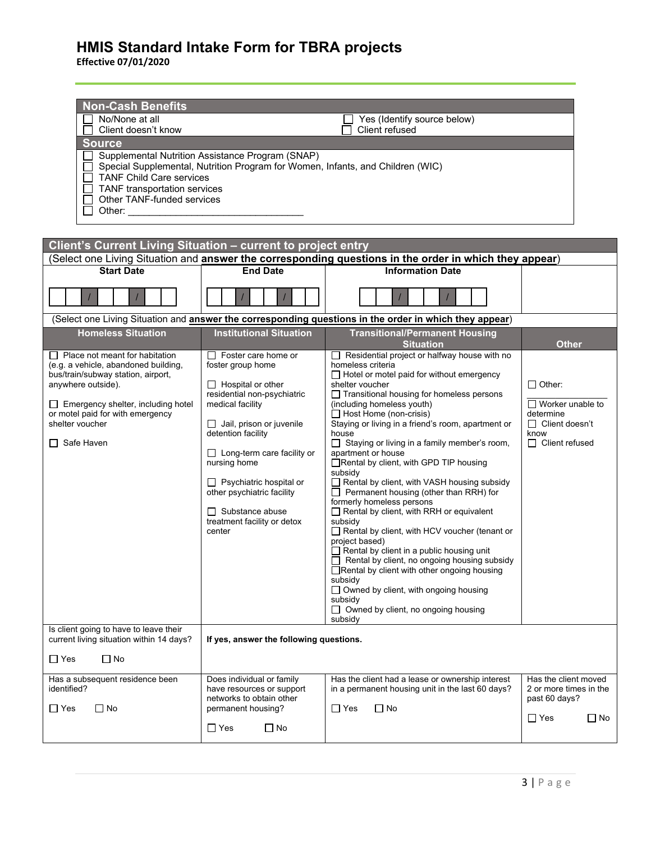**Effective 07/01/2020**

| <b>Non-Cash Benefits</b>                                                                                                                                                                                                       |                                                                                |                                                                                                                                          |                                         |  |
|--------------------------------------------------------------------------------------------------------------------------------------------------------------------------------------------------------------------------------|--------------------------------------------------------------------------------|------------------------------------------------------------------------------------------------------------------------------------------|-----------------------------------------|--|
| No/None at all<br>Client doesn't know                                                                                                                                                                                          |                                                                                | Yes (Identify source below)<br>Client refused                                                                                            |                                         |  |
| <b>Source</b>                                                                                                                                                                                                                  |                                                                                |                                                                                                                                          |                                         |  |
|                                                                                                                                                                                                                                | Supplemental Nutrition Assistance Program (SNAP)                               |                                                                                                                                          |                                         |  |
|                                                                                                                                                                                                                                | Special Supplemental, Nutrition Program for Women, Infants, and Children (WIC) |                                                                                                                                          |                                         |  |
| <b>TANF Child Care services</b>                                                                                                                                                                                                |                                                                                |                                                                                                                                          |                                         |  |
| TANF transportation services<br>Other TANF-funded services                                                                                                                                                                     |                                                                                |                                                                                                                                          |                                         |  |
| Other: and the control of the control of the control of the control of the control of the control of the control of the control of the control of the control of the control of the control of the control of the control of t |                                                                                |                                                                                                                                          |                                         |  |
|                                                                                                                                                                                                                                |                                                                                |                                                                                                                                          |                                         |  |
|                                                                                                                                                                                                                                |                                                                                |                                                                                                                                          |                                         |  |
| Client's Current Living Situation - current to project entry                                                                                                                                                                   |                                                                                |                                                                                                                                          |                                         |  |
| <b>Start Date</b>                                                                                                                                                                                                              | <b>End Date</b>                                                                | Select one Living Situation and <b>answer the corresponding questions in the order in which they appear</b> )<br><b>Information Date</b> |                                         |  |
|                                                                                                                                                                                                                                |                                                                                |                                                                                                                                          |                                         |  |
|                                                                                                                                                                                                                                |                                                                                |                                                                                                                                          |                                         |  |
|                                                                                                                                                                                                                                |                                                                                | (Select one Living Situation and answer the corresponding questions in the order in which they appear)                                   |                                         |  |
| <b>Homeless Situation</b>                                                                                                                                                                                                      | <b>Institutional Situation</b>                                                 | <b>Transitional/Permanent Housing</b>                                                                                                    |                                         |  |
| $\Box$ Place not meant for habitation                                                                                                                                                                                          | $\Box$ Foster care home or                                                     | <b>Situation</b><br>Residential project or halfway house with no                                                                         | <b>Other</b>                            |  |
| (e.g. a vehicle, abandoned building,                                                                                                                                                                                           | foster group home                                                              | homeless criteria                                                                                                                        |                                         |  |
| bus/train/subway station, airport,                                                                                                                                                                                             |                                                                                | $\Box$ Hotel or motel paid for without emergency                                                                                         | $\Box$ Other:                           |  |
| anywhere outside).                                                                                                                                                                                                             | $\Box$ Hospital or other<br>residential non-psychiatric                        | shelter voucher<br>$\Box$ Transitional housing for homeless persons                                                                      |                                         |  |
| $\Box$ Emergency shelter, including hotel                                                                                                                                                                                      | medical facility                                                               | (including homeless youth)                                                                                                               | $\Box$ Worker unable to                 |  |
| or motel paid for with emergency<br>shelter voucher                                                                                                                                                                            | $\Box$ Jail, prison or juvenile                                                | $\Box$ Host Home (non-crisis)<br>Staying or living in a friend's room, apartment or                                                      | determine<br>□ Client doesn't           |  |
|                                                                                                                                                                                                                                | detention facility                                                             | house                                                                                                                                    | know                                    |  |
| $\Box$ Safe Haven                                                                                                                                                                                                              | $\Box$ Long-term care facility or                                              | □ Staying or living in a family member's room,<br>apartment or house                                                                     | $\Box$ Client refused                   |  |
|                                                                                                                                                                                                                                | nursing home                                                                   | □Rental by client, with GPD TIP housing                                                                                                  |                                         |  |
|                                                                                                                                                                                                                                |                                                                                | subsidy                                                                                                                                  |                                         |  |
|                                                                                                                                                                                                                                | $\Box$ Psychiatric hospital or<br>other psychiatric facility                   | Rental by client, with VASH housing subsidy<br>$\Box$ Permanent housing (other than RRH) for                                             |                                         |  |
|                                                                                                                                                                                                                                |                                                                                | formerly homeless persons                                                                                                                |                                         |  |
|                                                                                                                                                                                                                                | $\Box$ Substance abuse<br>treatment facility or detox                          | $\Box$ Rental by client, with RRH or equivalent<br>subsidy                                                                               |                                         |  |
|                                                                                                                                                                                                                                | center                                                                         | Rental by client, with HCV voucher (tenant or                                                                                            |                                         |  |
|                                                                                                                                                                                                                                |                                                                                | project based)                                                                                                                           |                                         |  |
|                                                                                                                                                                                                                                |                                                                                | $\Box$ Rental by client in a public housing unit<br>$\Box$ Rental by client, no ongoing housing subsidy                                  |                                         |  |
|                                                                                                                                                                                                                                |                                                                                | □ Rental by client with other ongoing housing                                                                                            |                                         |  |
|                                                                                                                                                                                                                                |                                                                                | subsidy<br>$\Box$ Owned by client, with ongoing housing                                                                                  |                                         |  |
|                                                                                                                                                                                                                                |                                                                                | subsidy                                                                                                                                  |                                         |  |
|                                                                                                                                                                                                                                |                                                                                | $\Box$ Owned by client, no ongoing housing<br>subsidy                                                                                    |                                         |  |
| Is client going to have to leave their                                                                                                                                                                                         |                                                                                |                                                                                                                                          |                                         |  |
| current living situation within 14 days?<br>If yes, answer the following questions.                                                                                                                                            |                                                                                |                                                                                                                                          |                                         |  |
| $\Box$ No<br>$\Box$ Yes                                                                                                                                                                                                        |                                                                                |                                                                                                                                          |                                         |  |
| Has a subsequent residence been<br>identified?                                                                                                                                                                                 | Does individual or family                                                      | Has the client had a lease or ownership interest<br>in a permanent housing unit in the last 60 days?                                     | Has the client moved                    |  |
|                                                                                                                                                                                                                                | have resources or support<br>networks to obtain other                          |                                                                                                                                          | 2 or more times in the<br>past 60 days? |  |
| $\Box$ No<br>$\Box$ Yes                                                                                                                                                                                                        | permanent housing?                                                             | $\Box$ No<br>$\Box$ Yes                                                                                                                  |                                         |  |
|                                                                                                                                                                                                                                | $\Box$ Yes<br>$\Box$ No                                                        |                                                                                                                                          | $\Box$ Yes<br>$\Box$ No                 |  |
|                                                                                                                                                                                                                                |                                                                                |                                                                                                                                          |                                         |  |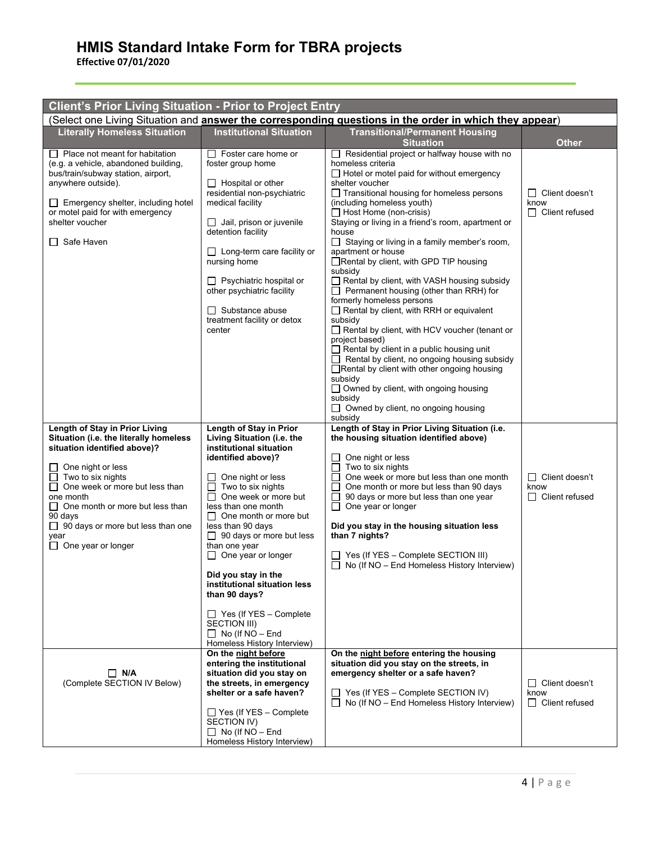**Effective 07/01/2020**

| <b>Client's Prior Living Situation - Prior to Project Entry</b>                                                                                                                                                                                                                                                                         |                                                                                                                                                                                                                                                                                                                                                                                                                                                                                                                                              |                                                                                                                                                                                                                                                                                                                                                                                                                                                                                                                                                                                                                                                                                                                                                                                                                                                                                                                                                                                                                |                                                        |  |
|-----------------------------------------------------------------------------------------------------------------------------------------------------------------------------------------------------------------------------------------------------------------------------------------------------------------------------------------|----------------------------------------------------------------------------------------------------------------------------------------------------------------------------------------------------------------------------------------------------------------------------------------------------------------------------------------------------------------------------------------------------------------------------------------------------------------------------------------------------------------------------------------------|----------------------------------------------------------------------------------------------------------------------------------------------------------------------------------------------------------------------------------------------------------------------------------------------------------------------------------------------------------------------------------------------------------------------------------------------------------------------------------------------------------------------------------------------------------------------------------------------------------------------------------------------------------------------------------------------------------------------------------------------------------------------------------------------------------------------------------------------------------------------------------------------------------------------------------------------------------------------------------------------------------------|--------------------------------------------------------|--|
| (Select one Living Situation and <b>answer the corresponding questions in the order in which they appear</b> )                                                                                                                                                                                                                          |                                                                                                                                                                                                                                                                                                                                                                                                                                                                                                                                              |                                                                                                                                                                                                                                                                                                                                                                                                                                                                                                                                                                                                                                                                                                                                                                                                                                                                                                                                                                                                                |                                                        |  |
| <b>Literally Homeless Situation</b>                                                                                                                                                                                                                                                                                                     | <b>Institutional Situation</b>                                                                                                                                                                                                                                                                                                                                                                                                                                                                                                               | <b>Transitional/Permanent Housing</b><br><b>Situation</b>                                                                                                                                                                                                                                                                                                                                                                                                                                                                                                                                                                                                                                                                                                                                                                                                                                                                                                                                                      | <b>Other</b>                                           |  |
| $\Box$ Place not meant for habitation<br>(e.g. a vehicle, abandoned building,<br>bus/train/subway station, airport,<br>anywhere outside).<br>Emergency shelter, including hotel<br>or motel paid for with emergency<br>shelter voucher<br>Safe Haven                                                                                    | $\Box$ Foster care home or<br>foster group home<br>$\Box$ Hospital or other<br>residential non-psychiatric<br>medical facility<br>$\Box$ Jail, prison or juvenile<br>detention facility<br>$\Box$ Long-term care facility or<br>nursing home<br>$\Box$ Psychiatric hospital or<br>other psychiatric facility<br>$\Box$ Substance abuse<br>treatment facility or detox<br>center                                                                                                                                                              | Residential project or halfway house with no<br>homeless criteria<br>$\Box$ Hotel or motel paid for without emergency<br>shelter voucher<br>□ Transitional housing for homeless persons<br>(including homeless youth)<br>$\Box$ Host Home (non-crisis)<br>Staying or living in a friend's room, apartment or<br>house<br>Staying or living in a family member's room,<br>$\Box$<br>apartment or house<br>Rental by client, with GPD TIP housing<br>subsidy<br>Rental by client, with VASH housing subsidy<br>$\Box$ Permanent housing (other than RRH) for<br>formerly homeless persons<br>$\Box$ Rental by client, with RRH or equivalent<br>subsidy<br>Rental by client, with HCV voucher (tenant or<br>project based)<br>$\Box$ Rental by client in a public housing unit<br>$\Box$ Rental by client, no ongoing housing subsidy<br>□ Rental by client with other ongoing housing<br>subsidy<br>□ Owned by client, with ongoing housing<br>subsidy<br>$\Box$ Owned by client, no ongoing housing<br>subsidy | $\Box$ Client doesn't<br>know<br>$\Box$ Client refused |  |
| Length of Stay in Prior Living<br>Situation (i.e. the literally homeless<br>situation identified above)?<br>One night or less<br>Two to six nights<br>One week or more but less than<br>one month<br>$\Box$ One month or more but less than<br>90 days<br>$\Box$ 90 days or more but less than one<br>vear<br>$\Box$ One year or longer | Length of Stay in Prior<br>Living Situation (i.e. the<br>institutional situation<br>identified above)?<br>One night or less<br>l 1<br>$\Box$ Two to six nights<br>$\Box$ One week or more but<br>less than one month<br>$\Box$ One month or more but<br>less than 90 days<br>$\Box$ 90 days or more but less<br>than one year<br>$\Box$ One year or longer<br>Did you stay in the<br>institutional situation less<br>than 90 days?<br>$\Box$ Yes (If YES – Complete<br>SECTION III)<br>$\Box$ No (If NO - End<br>Homeless History Interview) | Length of Stay in Prior Living Situation (i.e.<br>the housing situation identified above)<br>One night or less<br>Two to six nights<br>One week or more but less than one month<br>One month or more but less than 90 days<br>90 days or more but less than one year<br>$\sqcup$<br>One year or longer<br>ப<br>Did you stay in the housing situation less<br>than 7 nights?<br>Yes (If YES - Complete SECTION III)<br>$\Box$ No (If NO – End Homeless History Interview)                                                                                                                                                                                                                                                                                                                                                                                                                                                                                                                                       | $\Box$ Client doesn't<br>know<br>$\Box$ Client refused |  |
| $\Box$ N/A<br>(Complete SECTION IV Below)                                                                                                                                                                                                                                                                                               | On the night before<br>entering the institutional<br>situation did you stay on<br>the streets, in emergency<br>shelter or a safe haven?<br>$\Box$ Yes (If YES - Complete<br>SECTION IV)<br>$\Box$ No (If NO – End<br>Homeless History Interview)                                                                                                                                                                                                                                                                                             | On the night before entering the housing<br>situation did you stay on the streets, in<br>emergency shelter or a safe haven?<br>$\Box$ Yes (If YES – Complete SECTION IV)<br>$\Box$ No (If NO – End Homeless History Interview)                                                                                                                                                                                                                                                                                                                                                                                                                                                                                                                                                                                                                                                                                                                                                                                 | $\Box$ Client doesn't<br>know<br>$\Box$ Client refused |  |